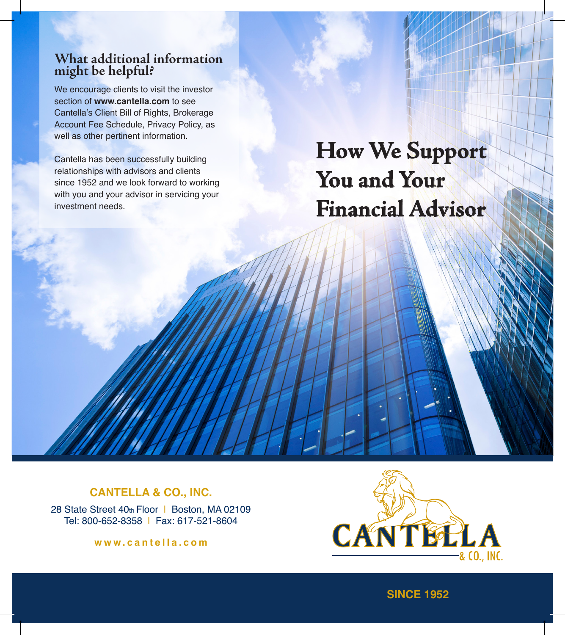### **What additional information might be helpful?**

We encourage clients to visit the investor section of **www.cantella.com** to see Cantella's Client Bill of Rights, Brokerage Account Fee Schedule, Privacy Policy, as well as other pertinent information.

Cantella has been successfully building relationships with advisors and clients since 1952 and we look forward to working with you and your advisor in servicing your investment needs.

**How We Support You and Your Financial Advisor**

#### **CANTELLA & CO., INC.**

28 State Street 40th Floor | Boston, MA 02109 Tel: 800-652-8358 | Fax: 617-521-8604

**www.cantella.com**



**SINCE 1952**